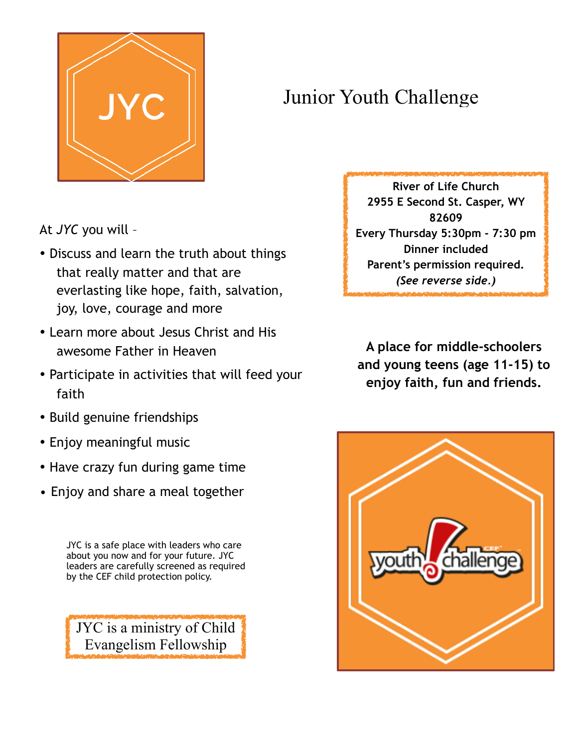

## Junior Youth Challenge

At *JYC* you will –

- Discuss and learn the truth about things that really matter and that are everlasting like hope, faith, salvation, joy, love, courage and more
- Learn more about Jesus Christ and His awesome Father in Heaven
- Participate in activities that will feed your faith
- Build genuine friendships
- Enjoy meaningful music
- Have crazy fun during game time
- Enjoy and share a meal together

JYC is a safe place with leaders who care about you now and for your future. JYC leaders are carefully screened as required by the CEF child protection policy.

JYC is a ministry of Child Evangelism Fellowship

**River of Life Church 2955 E Second St. Casper, WY 82609 Every Thursday 5:30pm - 7:30 pm Dinner included Parent's permission required.** *(See reverse side.)*

**A place for middle-schoolers and young teens (age 11-15) to enjoy faith, fun and friends.**